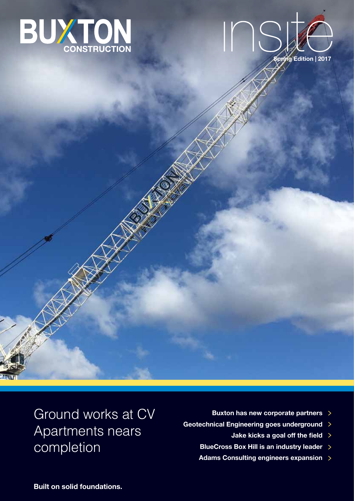



Ground works at CV Apartments nears completion

- **Buxton has new corporate partners**
- **Geotechnical Engineering goes underground**
	- **Jake kicks a goal off the field**
	- **BlueCross Box Hill is an industry leader**  $\rightarrow$
	- **Adams Consulting engineers expansion**

**Built on solid foundations.**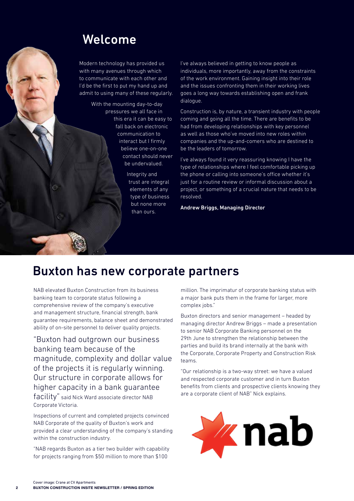### Welcome

Modern technology has provided us with many avenues through which to communicate with each other and I'd be the first to put my hand up and admit to using many of these regularly.

> With the mounting day-to-day pressures we all face in this era it can be easy to fall back on electronic communication to interact but I firmly believe one-on-one contact should never be undervalued.

> > Integrity and trust are integral elements of any type of business but none more than ours.

I've always believed in getting to know people as individuals, more importantly, away from the constraints of the work environment. Gaining insight into their role and the issues confronting them in their working lives goes a long way towards establishing open and frank dialogue.

Construction is, by nature, a transient industry with people coming and going all the time. There are benefits to be had from developing relationships with key personnel as well as those who've moved into new roles within companies and the up-and-comers who are destined to be the leaders of tomorrow.

I've always found it very reassuring knowing I have the type of relationships where I feel comfortable picking up the phone or calling into someone's office whether it's just for a routine review or informal discussion about a project, or something of a crucial nature that needs to be resolved.

Andrew Briggs, Managing Director

### Buxton has new corporate partners

NAB elevated Buxton Construction from its business banking team to corporate status following a comprehensive review of the company's executive and management structure, financial strength, bank guarantee requirements, balance sheet and demonstrated ability of on-site personnel to deliver quality projects.

"Buxton had outgrown our business banking team because of the magnitude, complexity and dollar value of the projects it is regularly winning. Our structure in corporate allows for higher capacity in a bank guarantee facility" said Nick Ward associate director NAB Corporate Victoria.

Inspections of current and completed projects convinced NAB Corporate of the quality of Buxton's work and provided a clear understanding of the company's standing within the construction industry.

"NAB regards Buxton as a tier two builder with capability for projects ranging from \$50 million to more than \$100

million. The imprimatur of corporate banking status with a major bank puts them in the frame for larger, more complex jobs."

Buxton directors and senior management – headed by managing director Andrew Briggs – made a presentation to senior NAB Corporate Banking personnel on the 29th June to strengthen the relationship between the parties and build its brand internally at the bank with the Corporate, Corporate Property and Construction Risk teams.

"Our relationship is a two-way street: we have a valued and respected corporate customer and in turn Buxton benefits from clients and prospective clients knowing they are a corporate client of NAB" Nick explains.

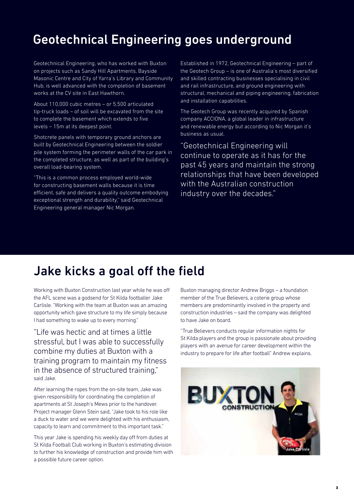# Geotechnical Engineering goes underground

Geotechnical Engineering, who has worked with Buxton on projects such as Sandy Hill Apartments, Bayside Masonic Centre and City of Yarra's Library and Community Hub, is well advanced with the completion of basement works at the CV site in East Hawthorn.

About 110,000 cubic metres – or 5,500 articulated tip-truck loads – of soil will be excavated from the site to complete the basement which extends to five levels – 15m at its deepest point.

Shotcrete panels with temporary ground anchors are built by Geotechnical Engineering between the soldier pile system forming the perimeter walls of the car park in the completed structure, as well as part of the building's overall load-bearing system.

"This is a common process employed world-wide for constructing basement walls because it is time efficient, safe and delivers a quality outcome embodying exceptional strength and durability," said Geotechnical Engineering general manager Nic Morgan.

Established in 1972, Geotechnical Engineering – part of the Geotech Group – is one of Australia's most diversified and skilled contracting businesses specialising in civil and rail infrastructure, and ground engineering with structural, mechanical and piping engineering, fabrication and installation capabilities.

The Geotech Group was recently acquired by Spanish company ACCIONA, a global leader in infrastructure and renewable energy but according to Nic Morgan it's business as usual.

"Geotechnical Engineering will continue to operate as it has for the past 45 years and maintain the strong relationships that have been developed with the Australian construction industry over the decades."

### Jake kicks a goal off the field

Working with Buxton Construction last year while he was off the AFL scene was a godsend for St Kilda footballer Jake Carlisle. "Working with the team at Buxton was an amazing opportunity which gave structure to my life simply because I had something to wake up to every morning."

"Life was hectic and at times a little stressful, but I was able to successfully combine my duties at Buxton with a training program to maintain my fitness in the absence of structured training," said Jake.

After learning the ropes from the on-site team, Jake was given responsibility for coordinating the completion of apartments at St Joseph's Mews prior to the handover. Project manager Glenn Stein said, "Jake took to his role like a duck to water and we were delighted with his enthusiasm, capacity to learn and commitment to this important task."

This year Jake is spending his weekly day off from duties at St Kilda Football Club working in Buxton's estimating division to further his knowledge of construction and provide him with a possible future career option.

Buxton managing director Andrew Briggs – a foundation member of the True Believers, a coterie group whose members are predominantly involved in the property and construction industries – said the company was delighted to have Jake on board.

"True Believers conducts regular information nights for St Kilda players and the group is passionate about providing players with an avenue for career development within the industry to prepare for life after football" Andrew explains.

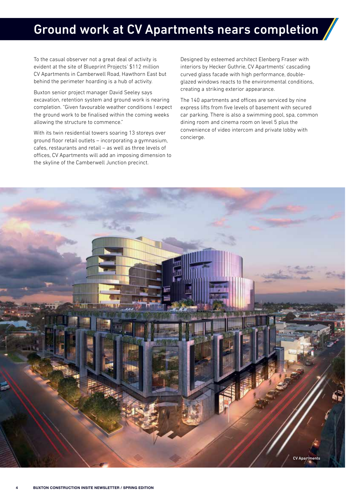### Ground work at CV Apartments nears completion

To the casual observer not a great deal of activity is evident at the site of Blueprint Projects' \$112 million CV Apartments in Camberwell Road, Hawthorn East but behind the perimeter hoarding is a hub of activity.

Buxton senior project manager David Seeley says excavation, retention system and ground work is nearing completion. "Given favourable weather conditions I expect the ground work to be finalised within the coming weeks allowing the structure to commence."

With its twin residential towers soaring 13 storeys over ground floor retail outlets – incorporating a gymnasium, cafes, restaurants and retail – as well as three levels of offices, CV Apartments will add an imposing dimension to the skyline of the Camberwell Junction precinct.

Designed by esteemed architect Elenberg Fraser with interiors by Hecker Guthrie, CV Apartments' cascading curved glass facade with high performance, doubleglazed windows reacts to the environmental conditions, creating a striking exterior appearance.

The 140 apartments and offices are serviced by nine express lifts from five levels of basement with secured car parking. There is also a swimming pool, spa, common dining room and cinema room on level 5 plus the convenience of video intercom and private lobby with concierge.

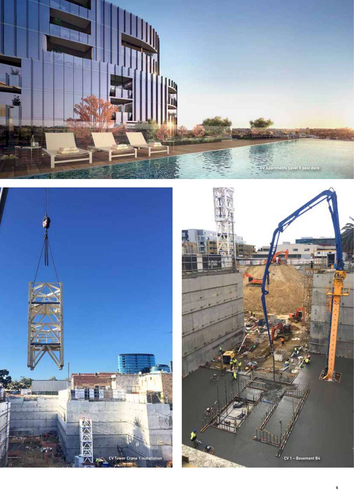



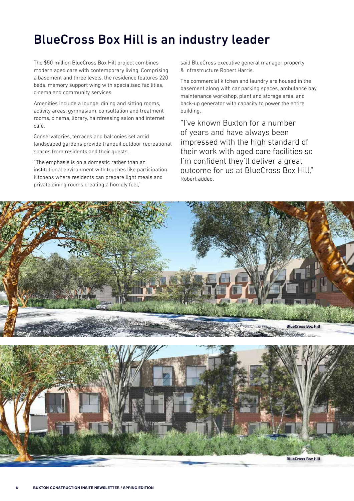## BlueCross Box Hill is an industry leader

The \$50 million BlueCross Box Hill project combines modern aged care with contemporary living. Comprising a basement and three levels, the residence features 220 beds, memory support wing with specialised facilities, cinema and community services.

Amenities include a lounge, dining and sitting rooms, activity areas, gymnasium, consultation and treatment rooms, cinema, library, hairdressing salon and internet café.

Conservatories, terraces and balconies set amid landscaped gardens provide tranquil outdoor recreational spaces from residents and their guests.

"The emphasis is on a domestic rather than an institutional environment with touches like participation kitchens where residents can prepare light meals and private dining rooms creating a homely feel,"

said BlueCross executive general manager property & infrastructure Robert Harris.

The commercial kitchen and laundry are housed in the basement along with car parking spaces, ambulance bay, maintenance workshop, plant and storage area, and back-up generator with capacity to power the entire building.

"I've known Buxton for a number of years and have always been impressed with the high standard of their work with aged care facilities so I'm confident they'll deliver a great outcome for us at BlueCross Box Hill," Robert added.

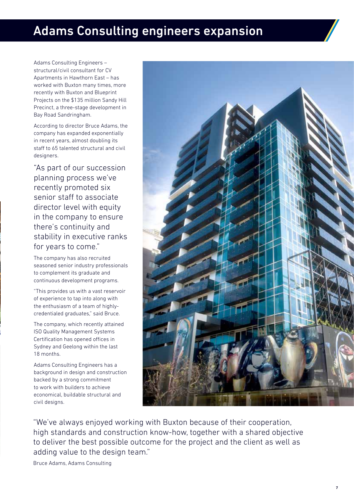### Adams Consulting engineers expansion

Adams Consulting Engineers – structural/civil consultant for CV Apartments in Hawthorn East – has worked with Buxton many times, more recently with Buxton and Blueprint Projects on the \$135 million Sandy Hill Precinct, a three-stage development in Bay Road Sandringham.

According to director Bruce Adams, the company has expanded exponentially in recent years, almost doubling its staff to 65 talented structural and civil designers.

"As part of our succession planning process we've recently promoted six senior staff to associate director level with equity in the company to ensure there's continuity and stability in executive ranks for years to come."

The company has also recruited seasoned senior industry professionals to complement its graduate and continuous development programs.

"This provides us with a vast reservoir of experience to tap into along with the enthusiasm of a team of highlycredentialed graduates," said Bruce.

The company, which recently attained ISO Quality Management Systems Certification has opened offices in Sydney and Geelong within the last 18 months.

Adams Consulting Engineers has a background in design and construction backed by a strong commitment to work with builders to achieve economical, buildable structural and civil designs.



"We've always enjoyed working with Buxton because of their cooperation, high standards and construction know-how, together with a shared objective to deliver the best possible outcome for the project and the client as well as adding value to the design team."

Bruce Adams, Adams Consulting